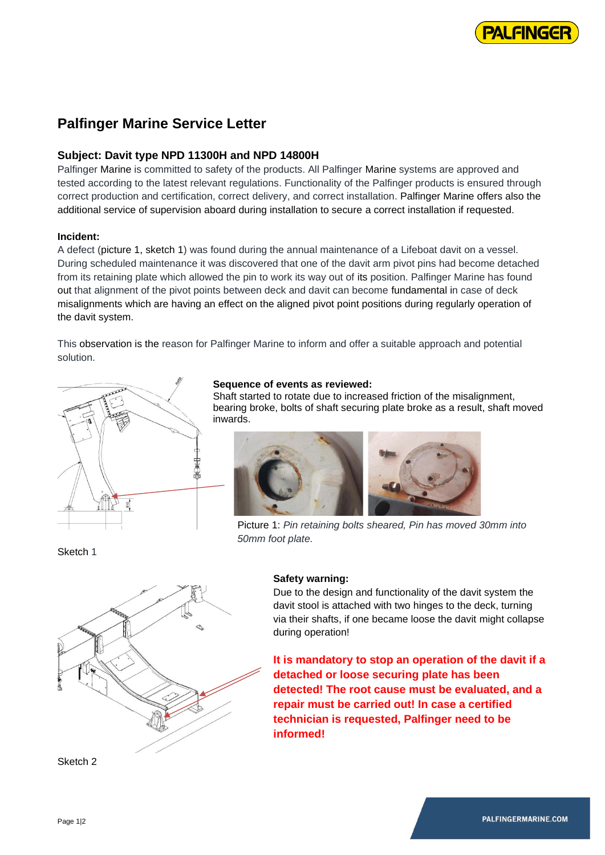

# **Palfinger Marine Service Letter**

# **Subject: Davit type NPD 11300H and NPD 14800H**

Palfinger Marine is committed to safety of the products. All Palfinger Marine systems are approved and tested according to the latest relevant regulations. Functionality of the Palfinger products is ensured through correct production and certification, correct delivery, and correct installation. Palfinger Marine offers also the additional service of supervision aboard during installation to secure a correct installation if requested.

### **Incident:**

A defect (picture 1, sketch 1) was found during the annual maintenance of a Lifeboat davit on a vessel. During scheduled maintenance it was discovered that one of the davit arm pivot pins had become detached from its retaining plate which allowed the pin to work its way out of its position. Palfinger Marine has found out that alignment of the pivot points between deck and davit can become fundamental in case of deck misalignments which are having an effect on the aligned pivot point positions during regularly operation of the davit system.

This observation is the reason for Palfinger Marine to inform and offer a suitable approach and potential solution.



# **Sequence of events as reviewed:**

Shaft started to rotate due to increased friction of the misalignment, bearing broke, bolts of shaft securing plate broke as a result, shaft moved inwards.



Picture 1: *Pin retaining bolts sheared, Pin has moved 30mm into 50mm foot plate.*



Sketch 2

Sketch 1

#### **Safety warning:**

Due to the design and functionality of the davit system the davit stool is attached with two hinges to the deck, turning via their shafts, if one became loose the davit might collapse during operation!

**It is mandatory to stop an operation of the davit if a detached or loose securing plate has been detected! The root cause must be evaluated, and a repair must be carried out! In case a certified technician is requested, Palfinger need to be informed!**